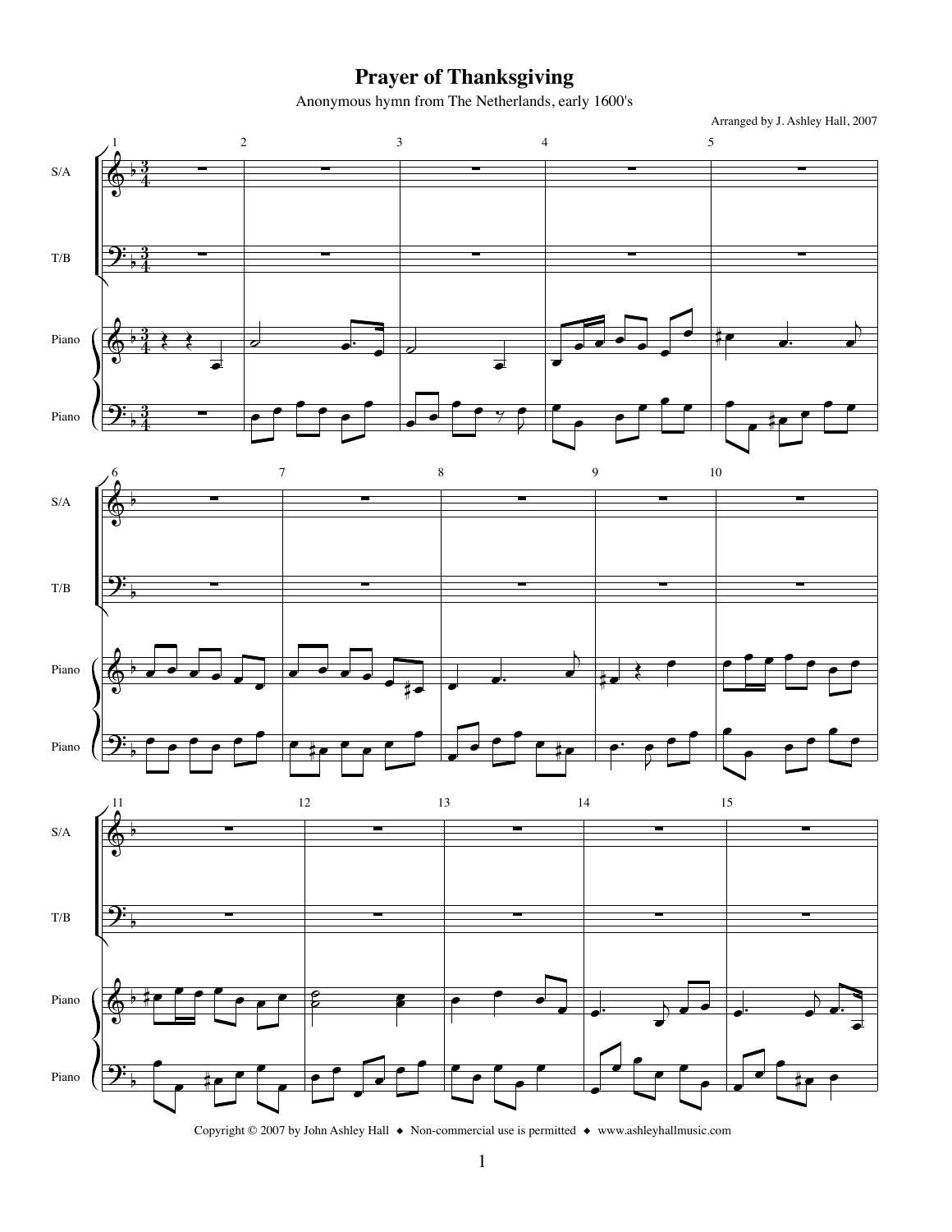## **Prayer of Thanksgiving**

Anonymous hymn from The Netherlands, early 1600's



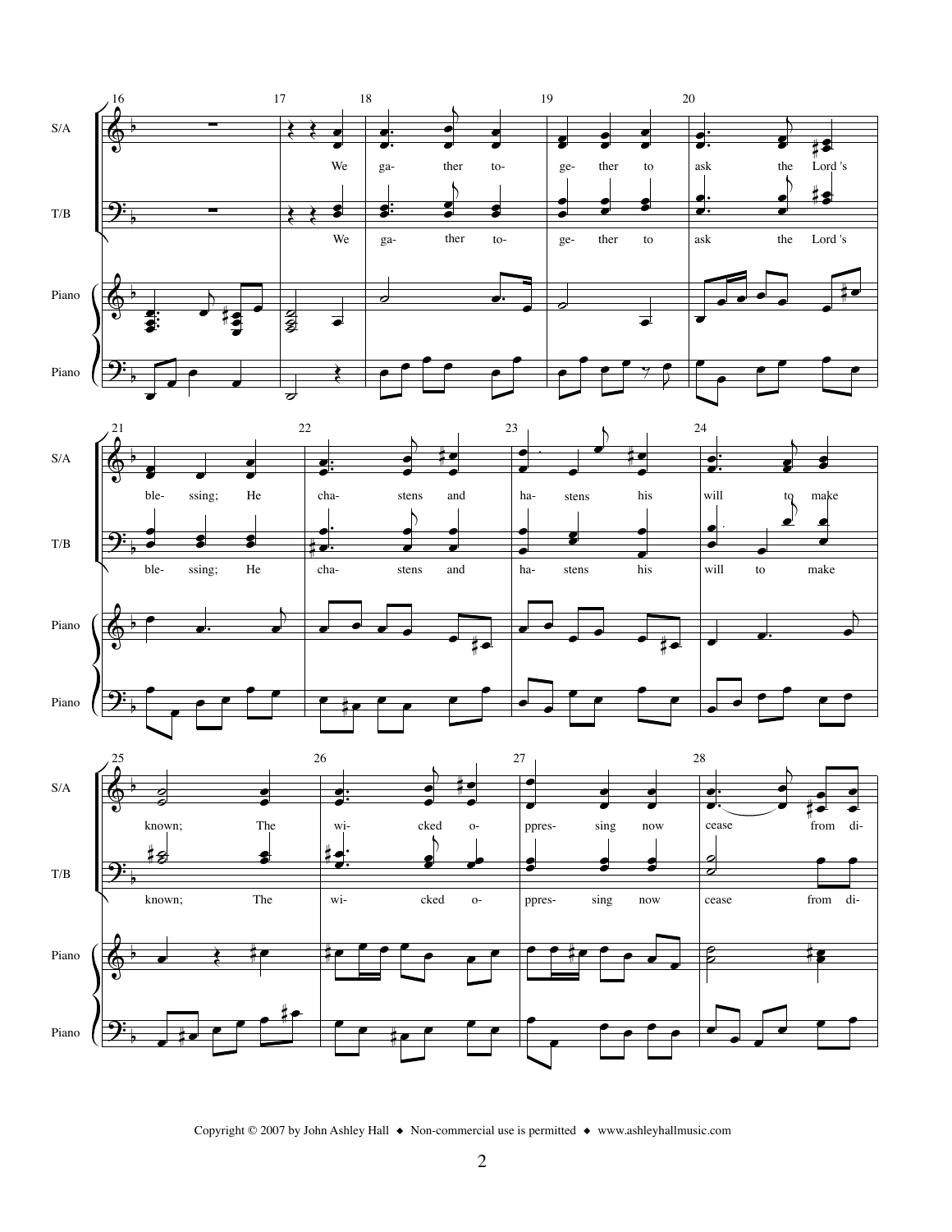

Copyright © 2007 by John Ashley Hall  $\bullet$  Non-commercial use is permitted  $\bullet$  www.ashleyhallmusic.com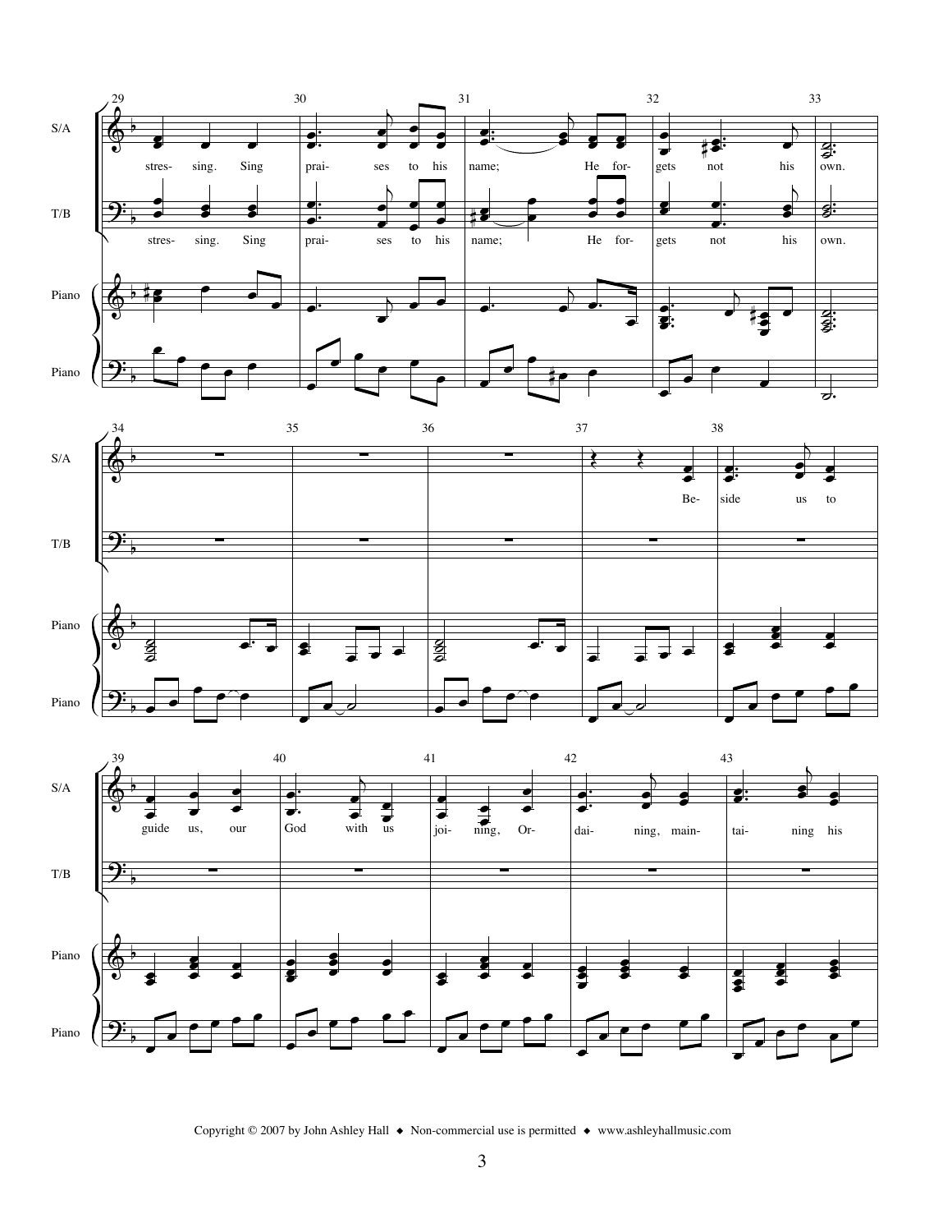





Copyright © 2007 by John Ashley Hall  $\bullet$  Non-commercial use is permitted  $\bullet$  www.ashleyhallmusic.com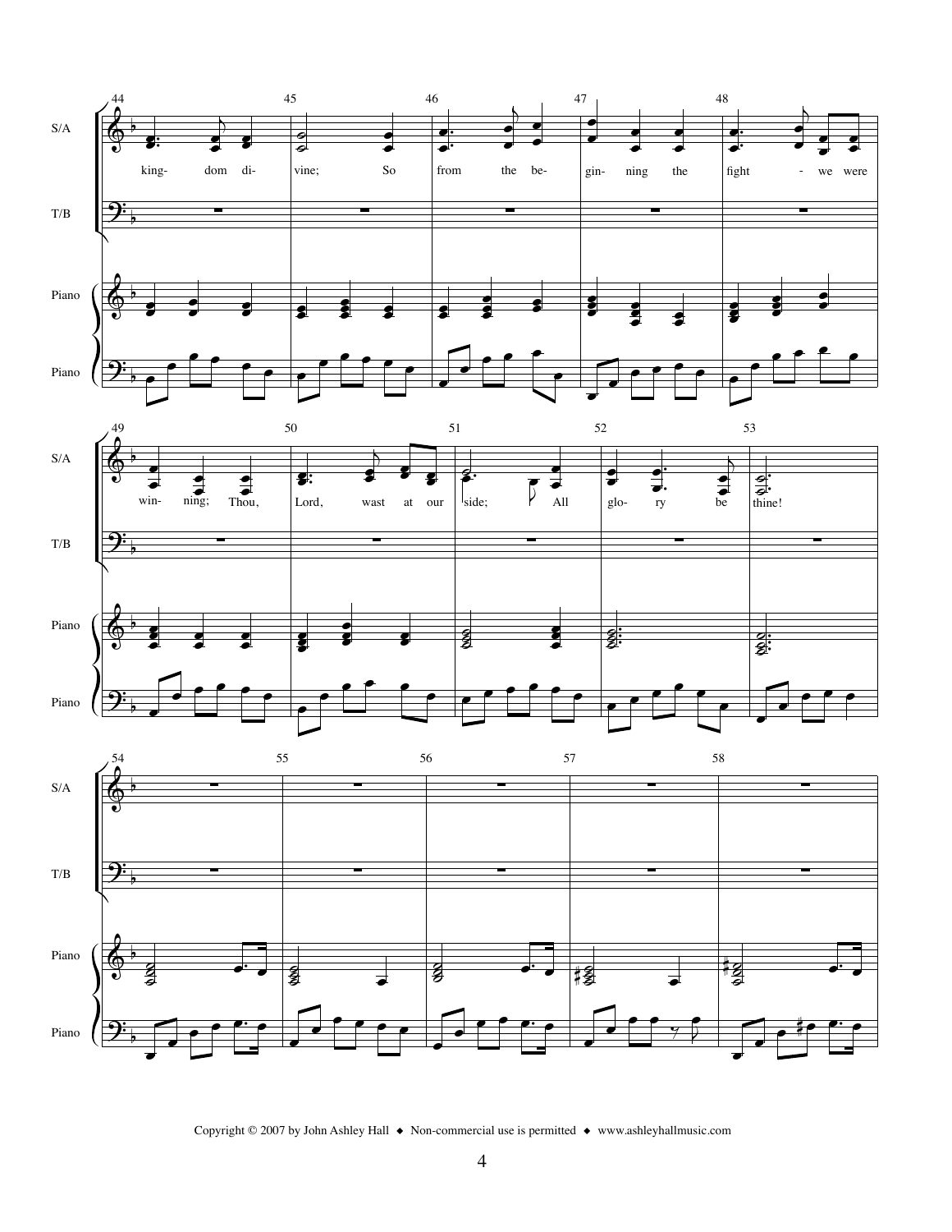

Copyright © 2007 by John Ashley Hall  $\bullet$  Non-commercial use is permitted  $\bullet$  www.ashleyhallmusic.com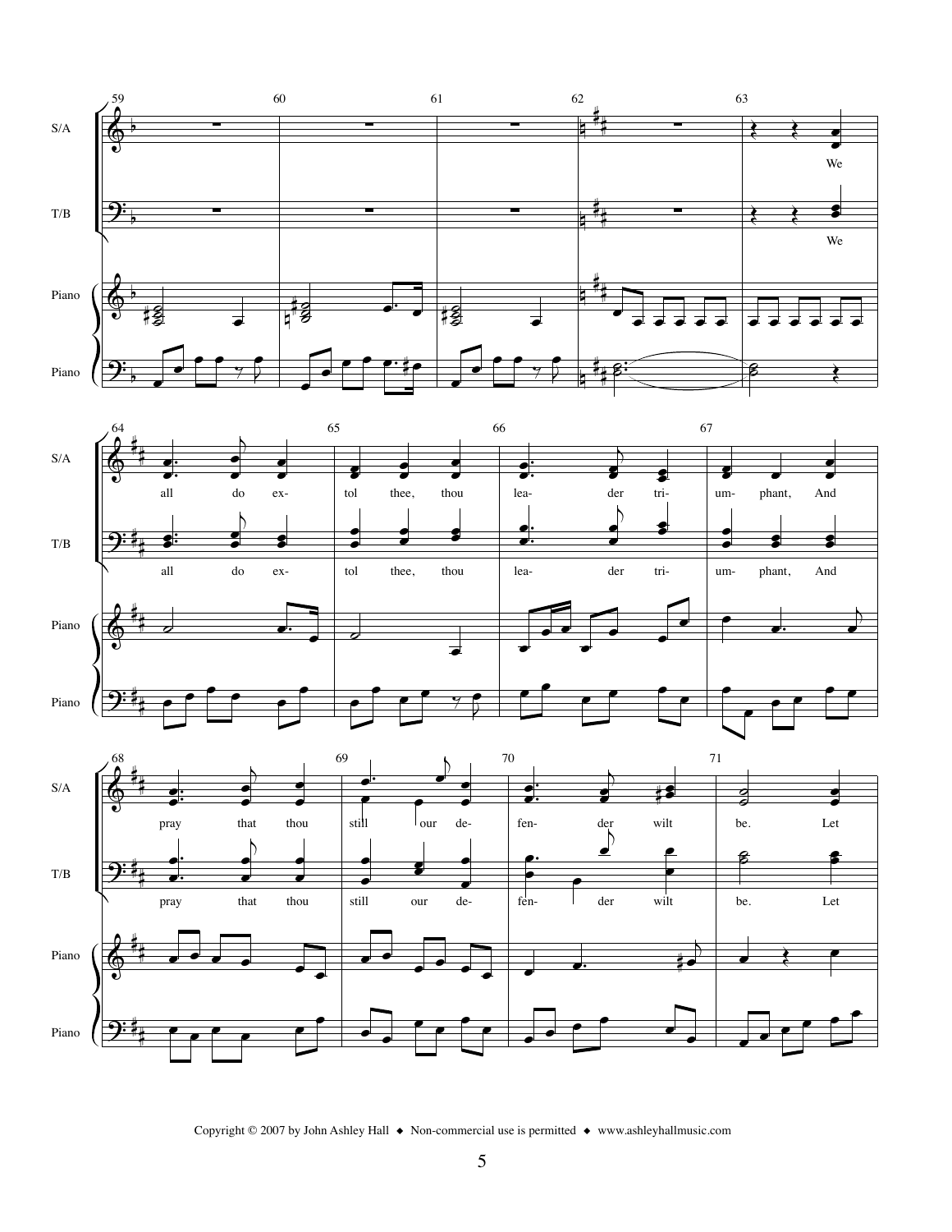

Copyright © 2007 by John Ashley Hall  $\bullet$  Non-commercial use is permitted  $\bullet$  www.ashleyhallmusic.com

Piano